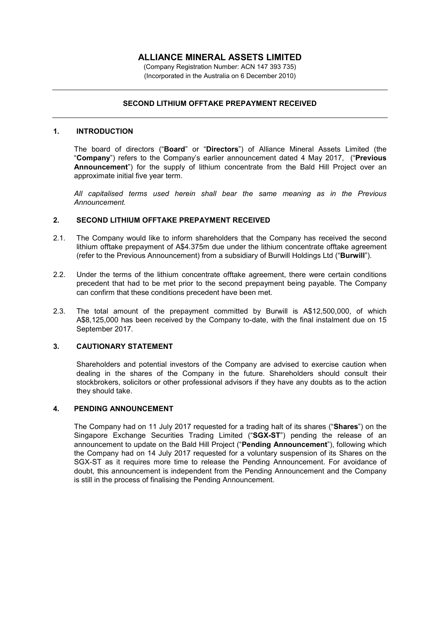# **ALLIANCE MINERAL ASSETS LIMITED**

(Company Registration Number: ACN 147 393 735) (Incorporated in the Australia on 6 December 2010)

## **SECOND LITHIUM OFFTAKE PREPAYMENT RECEIVED**

#### **1. INTRODUCTION**

The board of directors ("**Board**" or "**Directors**") of Alliance Mineral Assets Limited (the "**Company**") refers to the Company's earlier announcement dated 4 May 2017, ("**Previous Announcement**") for the supply of lithium concentrate from the Bald Hill Project over an approximate initial five year term.

*All capitalised terms used herein shall bear the same meaning as in the Previous Announcement.* 

#### **2. SECOND LITHIUM OFFTAKE PREPAYMENT RECEIVED**

- 2.1. The Company would like to inform shareholders that the Company has received the second lithium offtake prepayment of A\$4.375m due under the lithium concentrate offtake agreement (refer to the Previous Announcement) from a subsidiary of Burwill Holdings Ltd ("**Burwill**").
- 2.2. Under the terms of the lithium concentrate offtake agreement, there were certain conditions precedent that had to be met prior to the second prepayment being payable. The Company can confirm that these conditions precedent have been met.
- 2.3. The total amount of the prepayment committed by Burwill is A\$12,500,000, of which A\$8,125,000 has been received by the Company to-date, with the final instalment due on 15 September 2017.

## **3. CAUTIONARY STATEMENT**

Shareholders and potential investors of the Company are advised to exercise caution when dealing in the shares of the Company in the future. Shareholders should consult their stockbrokers, solicitors or other professional advisors if they have any doubts as to the action they should take.

#### **4. PENDING ANNOUNCEMENT**

The Company had on 11 July 2017 requested for a trading halt of its shares ("**Shares**") on the Singapore Exchange Securities Trading Limited ("**SGX-ST**") pending the release of an announcement to update on the Bald Hill Project ("**Pending Announcement**"), following which the Company had on 14 July 2017 requested for a voluntary suspension of its Shares on the SGX-ST as it requires more time to release the Pending Announcement. For avoidance of doubt, this announcement is independent from the Pending Announcement and the Company is still in the process of finalising the Pending Announcement.